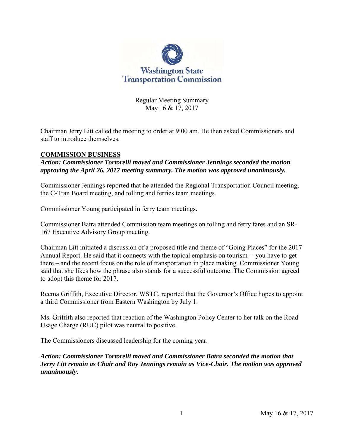

Regular Meeting Summary May 16 & 17, 2017

Chairman Jerry Litt called the meeting to order at 9:00 am. He then asked Commissioners and staff to introduce themselves.

#### **COMMISSION BUSINESS**

*Action: Commissioner Tortorelli moved and Commissioner Jennings seconded the motion approving the April 26, 2017 meeting summary. The motion was approved unanimously.*

Commissioner Jennings reported that he attended the Regional Transportation Council meeting, the C-Tran Board meeting, and tolling and ferries team meetings.

Commissioner Young participated in ferry team meetings.

Commissioner Batra attended Commission team meetings on tolling and ferry fares and an SR-167 Executive Advisory Group meeting.

Chairman Litt initiated a discussion of a proposed title and theme of "Going Places" for the 2017 Annual Report. He said that it connects with the topical emphasis on tourism -- you have to get there – and the recent focus on the role of transportation in place making. Commissioner Young said that she likes how the phrase also stands for a successful outcome. The Commission agreed to adopt this theme for 2017.

Reema Griffith, Executive Director, WSTC, reported that the Governor's Office hopes to appoint a third Commissioner from Eastern Washington by July 1.

Ms. Griffith also reported that reaction of the Washington Policy Center to her talk on the Road Usage Charge (RUC) pilot was neutral to positive.

The Commissioners discussed leadership for the coming year.

*Action: Commissioner Tortorelli moved and Commissioner Batra seconded the motion that Jerry Litt remain as Chair and Roy Jennings remain as Vice-Chair. The motion was approved unanimously.*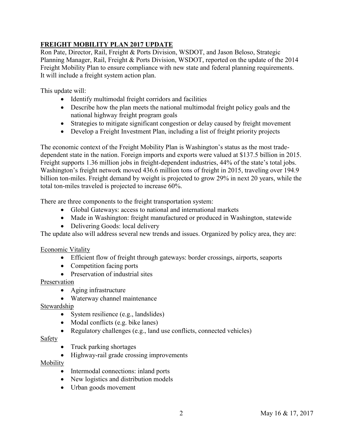# **FREIGHT MOBILITY PLAN 2017 UPDATE**

Ron Pate, Director, Rail, Freight & Ports Division, WSDOT, and Jason Beloso, Strategic Planning Manager, Rail, Freight & Ports Division, WSDOT, reported on the update of the 2014 Freight Mobility Plan to ensure compliance with new state and federal planning requirements. It will include a freight system action plan.

This update will:

- Identify multimodal freight corridors and facilities
- Describe how the plan meets the national multimodal freight policy goals and the national highway freight program goals
- Strategies to mitigate significant congestion or delay caused by freight movement
- Develop a Freight Investment Plan, including a list of freight priority projects

The economic context of the Freight Mobility Plan is Washington's status as the most tradedependent state in the nation. Foreign imports and exports were valued at \$137.5 billion in 2015. Freight supports 1.36 million jobs in freight-dependent industries, 44% of the state's total jobs. Washington's freight network moved 436.6 million tons of freight in 2015, traveling over 194.9 billion ton-miles. Freight demand by weight is projected to grow 29% in next 20 years, while the total ton-miles traveled is projected to increase 60%.

There are three components to the freight transportation system:

- Global Gateways: access to national and international markets
- Made in Washington: freight manufactured or produced in Washington, statewide
- Delivering Goods: local delivery

The update also will address several new trends and issues. Organized by policy area, they are:

## Economic Vitality

- Efficient flow of freight through gateways: border crossings, airports, seaports
- Competition facing ports
- Preservation of industrial sites

#### Preservation

- Aging infrastructure
- Waterway channel maintenance

#### Stewardship

- System resilience (e.g., landslides)
- Modal conflicts (e.g. bike lanes)
- Regulatory challenges (e.g., land use conflicts, connected vehicles)

#### **Safety**

- Truck parking shortages
- Highway-rail grade crossing improvements

#### Mobility

- Intermodal connections: inland ports
- New logistics and distribution models
- Urban goods movement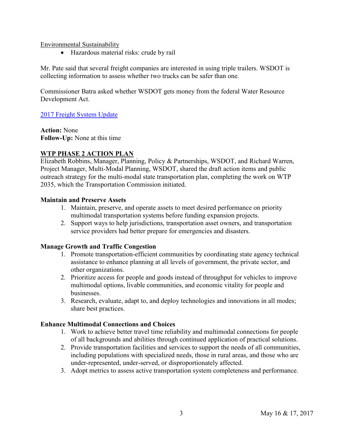Environmental Sustainability

Hazardous material risks: crude by rail

Mr. Pate said that several freight companies are interested in using triple trailers. WSDOT is collecting information to assess whether two trucks can be safer than one.

Commissioner Batra asked whether WSDOT gets money from the federal Water Resource Development Act.

[2017 Freight System Update](http://www.wstc.wa.gov/Meetings/AgendasMinutes/agendas/2017/May16/documents/2017_0516_BP2_2017FreightSystemPlan.pdf)

**Action:** None **Follow-Up:** None at this time

## **WTP PHASE 2 ACTION PLAN**

Elizabeth Robbins, Manager, Planning, Policy & Partnerships, WSDOT, and Richard Warren, Project Manager, Multi-Modal Planning, WSDOT, shared the draft action items and public outreach strategy for the multi-modal state transportation plan, completing the work on WTP 2035, which the Transportation Commission initiated.

#### **Maintain and Preserve Assets**

- 1. Maintain, preserve, and operate assets to meet desired performance on priority multimodal transportation systems before funding expansion projects.
- 2. Support ways to help jurisdictions, transportation asset owners, and transportation service providers had better prepare for emergencies and disasters.

#### **Manage Growth and Traffic Congestion**

- 1. Promote transportation-efficient communities by coordinating state agency technical assistance to enhance planning at all levels of government, the private sector, and other organizations.
- 2. Prioritize access for people and goods instead of throughput for vehicles to improve multimodal options, livable communities, and economic vitality for people and businesses.
- 3. Research, evaluate, adapt to, and deploy technologies and innovations in all modes; share best practices.

#### **Enhance Multimodal Connections and Choices**

- 1. Work to achieve better travel time reliability and multimodal connections for people of all backgrounds and abilities through continued application of practical solutions.
- 2. Provide transportation facilities and services to support the needs of all communities, including populations with specialized needs, those in rural areas, and those who are under-represented, under-served, or disproportionately affected.
- 3. Adopt metrics to assess active transportation system completeness and performance.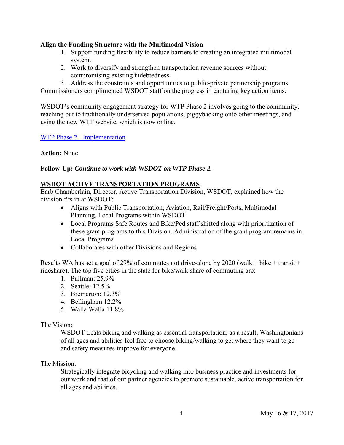#### **Align the Funding Structure with the Multimodal Vision**

- 1. Support funding flexibility to reduce barriers to creating an integrated multimodal system.
- 2. Work to diversify and strengthen transportation revenue sources without compromising existing indebtedness.

3. Address the constraints and opportunities to public-private partnership programs. Commissioners complimented WSDOT staff on the progress in capturing key action items.

WSDOT's community engagement strategy for WTP Phase 2 involves going to the community, reaching out to traditionally underserved populations, piggybacking onto other meetings, and using the new WTP website, which is now online.

WTP Phase 2 - [Implementation](http://www.wstc.wa.gov/Meetings/AgendasMinutes/agendas/2017/May16/documents/2017_0516_BP3_Phase2Implementation_WTP.pdf)

**Action:** None

#### **Follow-Up:** *Continue to work with WSDOT on WTP Phase 2.*

#### **WSDOT ACTIVE TRANSPORTATION PROGRAMS**

Barb Chamberlain, Director, Active Transportation Division, WSDOT, explained how the division fits in at WSDOT:

- Aligns with Public Transportation, Aviation, Rail/Freight/Ports, Multimodal Planning, Local Programs within WSDOT
- Local Programs Safe Routes and Bike/Ped staff shifted along with prioritization of these grant programs to this Division. Administration of the grant program remains in Local Programs
- Collaborates with other Divisions and Regions

Results WA has set a goal of 29% of commutes not drive-alone by 2020 (walk + bike + transit + rideshare). The top five cities in the state for bike/walk share of commuting are:

- 1. Pullman: 25.9%
- 2. Seattle: 12.5%
- 3. Bremerton: 12.3%
- 4. Bellingham 12.2%
- 5. Walla Walla 11.8%

#### The Vision:

WSDOT treats biking and walking as essential transportation; as a result, Washingtonians of all ages and abilities feel free to choose biking/walking to get where they want to go and safety measures improve for everyone.

#### The Mission:

Strategically integrate bicycling and walking into business practice and investments for our work and that of our partner agencies to promote sustainable, active transportation for all ages and abilities.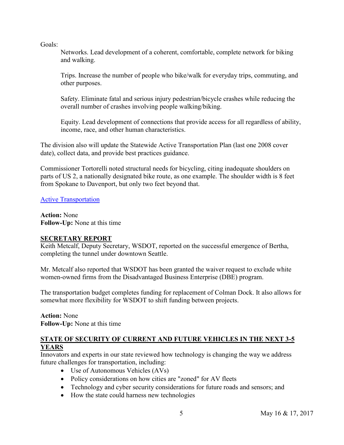Goals:

Networks. Lead development of a coherent, comfortable, complete network for biking and walking.

Trips. Increase the number of people who bike/walk for everyday trips, commuting, and other purposes.

Safety. Eliminate fatal and serious injury pedestrian/bicycle crashes while reducing the overall number of crashes involving people walking/biking.

Equity. Lead development of connections that provide access for all regardless of ability, income, race, and other human characteristics.

The division also will update the Statewide Active Transportation Plan (last one 2008 cover date), collect data, and provide best practices guidance.

Commissioner Tortorelli noted structural needs for bicycling, citing inadequate shoulders on parts of US 2, a nationally designated bike route, as one example. The shoulder width is 8 feet from Spokane to Davenport, but only two feet beyond that.

[Active Transportation](http://www.wstc.wa.gov/Meetings/AgendasMinutes/agendas/2017/May16/documents/2017_0516_BP4_ActiveTransportationDivisionOverview.pdf)

**Action:** None **Follow-Up:** None at this time

## **SECRETARY REPORT**

Keith Metcalf, Deputy Secretary, WSDOT, reported on the successful emergence of Bertha, completing the tunnel under downtown Seattle.

Mr. Metcalf also reported that WSDOT has been granted the waiver request to exclude white women-owned firms from the Disadvantaged Business Enterprise (DBE) program.

The transportation budget completes funding for replacement of Colman Dock. It also allows for somewhat more flexibility for WSDOT to shift funding between projects.

**Action:** None **Follow-Up:** None at this time

## **STATE OF SECURITY OF CURRENT AND FUTURE VEHICLES IN THE NEXT 3-5 YEARS**

Innovators and experts in our state reviewed how technology is changing the way we address future challenges for transportation, including:

- Use of Autonomous Vehicles (AVs)
- Policy considerations on how cities are "zoned" for AV fleets
- Technology and cyber security considerations for future roads and sensors; and
- How the state could harness new technologies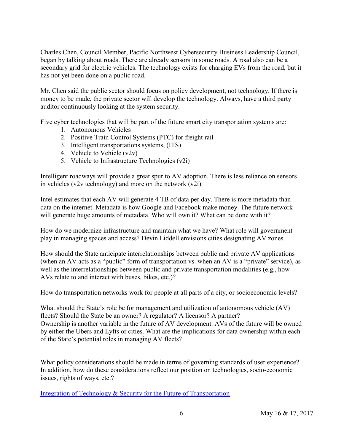Charles Chen, Council Member, Pacific Northwest Cybersecurity Business Leadership Council, began by talking about roads. There are already sensors in some roads. A road also can be a secondary grid for electric vehicles. The technology exists for charging EVs from the road, but it has not yet been done on a public road.

Mr. Chen said the public sector should focus on policy development, not technology. If there is money to be made, the private sector will develop the technology. Always, have a third party auditor continuously looking at the system security.

Five cyber technologies that will be part of the future smart city transportation systems are:

- 1. Autonomous Vehicles
- 2. Positive Train Control Systems (PTC) for freight rail
- 3. Intelligent transportations systems, (ITS)
- 4. Vehicle to Vehicle (v2v)
- 5. Vehicle to Infrastructure Technologies (v2i)

Intelligent roadways will provide a great spur to AV adoption. There is less reliance on sensors in vehicles (v2v technology) and more on the network (v2i).

Intel estimates that each AV will generate 4 TB of data per day. There is more metadata than data on the internet. Metadata is how Google and Facebook make money. The future network will generate huge amounts of metadata. Who will own it? What can be done with it?

How do we modernize infrastructure and maintain what we have? What role will government play in managing spaces and access? Devin Liddell envisions cities designating AV zones.

How should the State anticipate interrelationships between public and private AV applications (when an AV acts as a "public" form of transportation vs. when an AV is a "private" service), as well as the interrelationships between public and private transportation modalities (e.g., how AVs relate to and interact with buses, bikes, etc.)?

How do transportation networks work for people at all parts of a city, or socioeconomic levels?

What should the State's role be for management and utilization of autonomous vehicle (AV) fleets? Should the State be an owner? A regulator? A licensor? A partner? Ownership is another variable in the future of AV development. AVs of the future will be owned by either the Ubers and Lyfts or cities. What are the implications for data ownership within each of the State's potential roles in managing AV fleets?

What policy considerations should be made in terms of governing standards of user experience? In addition, how do these considerations reflect our position on technologies, socio-economic issues, rights of ways, etc.?

[Integration of Technology & Security for the Future of Transportation](http://www.wstc.wa.gov/Meetings/AgendasMinutes/agendas/2017/May16/documents/2017_0516_BP4_ActiveTransportationDivisionOverview.pdf)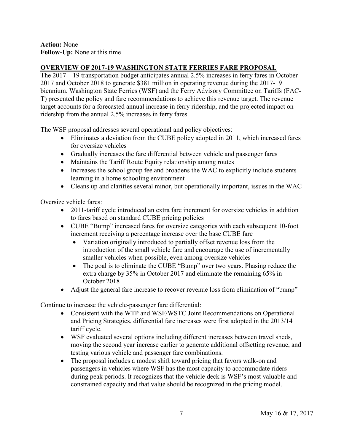#### **Action:** None **Follow-Up:** None at this time

## **OVERVIEW OF 2017-19 WASHINGTON STATE FERRIES FARE PROPOSAL**

The 2017 – 19 transportation budget anticipates annual 2.5% increases in ferry fares in October 2017 and October 2018 to generate \$381 million in operating revenue during the 2017-19 biennium. Washington State Ferries (WSF) and the Ferry Advisory Committee on Tariffs (FAC-T) presented the policy and fare recommendations to achieve this revenue target. The revenue target accounts for a forecasted annual increase in ferry ridership, and the projected impact on ridership from the annual 2.5% increases in ferry fares.

The WSF proposal addresses several operational and policy objectives:

- Eliminates a deviation from the CUBE policy adopted in 2011, which increased fares for oversize vehicles
- Gradually increases the fare differential between vehicle and passenger fares
- Maintains the Tariff Route Equity relationship among routes
- Increases the school group fee and broadens the WAC to explicitly include students learning in a home schooling environment
- Cleans up and clarifies several minor, but operationally important, issues in the WAC

Oversize vehicle fares:

- 2011-tariff cycle introduced an extra fare increment for oversize vehicles in addition to fares based on standard CUBE pricing policies
- CUBE "Bump" increased fares for oversize categories with each subsequent 10-foot increment receiving a percentage increase over the base CUBE fare
	- Variation originally introduced to partially offset revenue loss from the introduction of the small vehicle fare and encourage the use of incrementally smaller vehicles when possible, even among oversize vehicles
	- The goal is to eliminate the CUBE "Bump" over two years. Phasing reduce the extra charge by 35% in October 2017 and eliminate the remaining 65% in October 2018
- Adjust the general fare increase to recover revenue loss from elimination of "bump"

Continue to increase the vehicle-passenger fare differential:

- Consistent with the WTP and WSF/WSTC Joint Recommendations on Operational and Pricing Strategies, differential fare increases were first adopted in the 2013/14 tariff cycle.
- WSF evaluated several options including different increases between travel sheds, moving the second year increase earlier to generate additional offsetting revenue, and testing various vehicle and passenger fare combinations.
- The proposal includes a modest shift toward pricing that favors walk-on and passengers in vehicles where WSF has the most capacity to accommodate riders during peak periods. It recognizes that the vehicle deck is WSF's most valuable and constrained capacity and that value should be recognized in the pricing model.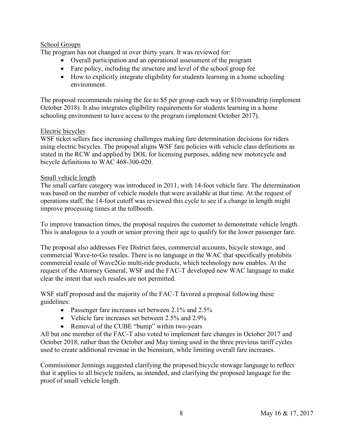## School Groups

The program has not changed in over thirty years. It was reviewed for:

- Overall participation and an operational assessment of the program
- Fare policy, including the structure and level of the school group fee
- How to explicitly integrate eligibility for students learning in a home schooling environment.

The proposal recommends raising the fee to \$5 per group each way or \$10/roundtrip (implement October 2018). It also integrates eligibility requirements for students learning in a home schooling environment to have access to the program (implement October 2017).

## Electric bicycles

WSF ticket sellers face increasing challenges making fare determination decisions for riders using electric bicycles. The proposal aligns WSF fare policies with vehicle class definitions as stated in the RCW and applied by DOL for licensing purposes, adding new motorcycle and bicycle definitions to WAC 468-300-020.

#### Small vehicle length

The small carfare category was introduced in 2011, with 14-foot vehicle fare. The determination was based on the number of vehicle models that were available at that time. At the request of operations staff, the 14-foot cutoff was reviewed this cycle to see if a change in length might improve processing times at the tollbooth.

To improve transaction times, the proposal requires the customer to demonstrate vehicle length. This is analogous to a youth or senior proving their age to qualify for the lower passenger fare.

The proposal also addresses Fire District fares, commercial accounts, bicycle stowage, and commercial Wave-to-Go resales. There is no language in the WAC that specifically prohibits commercial resale of Wave2Go multi-ride products, which technology now enables. At the request of the Attorney General, WSF and the FAC-T developed new WAC language to make clear the intent that such resales are not permitted.

WSF staff proposed and the majority of the FAC-T favored a proposal following these guidelines:

- Passenger fare increases set between 2.1% and 2.5%
- Vehicle fare increases set between 2.5% and 2.9%
- Removal of the CUBE "bump" within two-years

All but one member of the FAC-T also voted to implement fare changes in October 2017 and October 2018, rather than the October and May timing used in the three previous tariff cycles used to create additional revenue in the biennium, while limiting overall fare increases.

Commissioner Jennings suggested clarifying the proposed bicycle stowage language to reflect that it applies to all bicycle trailers, as intended, and clarifying the proposed language for the proof of small vehicle length.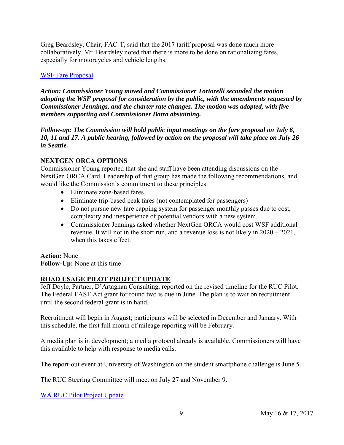Greg Beardsley, Chair, FAC-T, said that the 2017 tariff proposal was done much more collaboratively. Mr. Beardsley noted that there is more to be done on rationalizing fares, especially for motorcycles and vehicle lengths.

#### [WSF Fare Proposal](http://www.wstc.wa.gov/Meetings/AgendasMinutes/agendas/2017/May16/documents/2017_0516_BP7_WSTCFareProposal2017.pdf)

*Action: Commissioner Young moved and Commissioner Tortorelli seconded the motion adopting the WSF proposal for consideration by the public, with the amendments requested by Commissioner Jennings, and the charter rate changes. The motion was adopted, with five members supporting and Commissioner Batra abstaining.* 

*Follow-up: The Commission will hold public input meetings on the fare proposal on July 6, 10, 11 and 17. A public hearing, followed by action on the proposal will take place on July 26 in Seattle.*

#### **NEXTGEN ORCA OPTIONS**

Commissioner Young reported that she and staff have been attending discussions on the NextGen ORCA Card. Leadership of that group has made the following recommendations, and would like the Commission's commitment to these principles:

- Eliminate zone-based fares
- Eliminate trip-based peak fares (not contemplated for passengers)
- Do not pursue new fare capping system for passenger monthly passes due to cost, complexity and inexperience of potential vendors with a new system.
- Commissioner Jennings asked whether NextGen ORCA would cost WSF additional revenue. It will not in the short run, and a revenue loss is not likely in 2020 – 2021, when this takes effect.

**Action:** None **Follow-Up:** None at this time

## **ROAD USAGE PILOT PROJECT UPDATE**

Jeff Doyle, Partner, D'Artagnan Consulting, reported on the revised timeline for the RUC Pilot. The Federal FAST Act grant for round two is due in June. The plan is to wait on recruitment until the second federal grant is in hand.

Recruitment will begin in August; participants will be selected in December and January. With this schedule, the first full month of mileage reporting will be February.

A media plan is in development; a media protocol already is available. Commissioners will have this available to help with response to media calls.

The report-out event at University of Washington on the student smartphone challenge is June 5.

The RUC Steering Committee will meet on July 27 and November 9.

[WA RUC Pilot Project Update](http://www.wstc.wa.gov/Meetings/AgendasMinutes/agendas/2017/May16/documents/2017_0517_BP10_RUCupdate.pdf)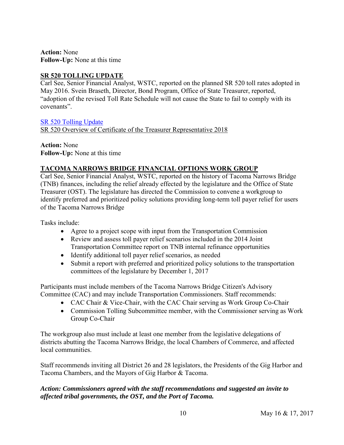**Action:** None **Follow-Up:** None at this time

## **SR 520 TOLLING UPDATE**

Carl See, Senior Financial Analyst, WSTC, reported on the planned SR 520 toll rates adopted in May 2016. Svein Braseth, Director, Bond Program, Office of State Treasurer, reported, "adoption of the revised Toll Rate Schedule will not cause the State to fail to comply with its covenants".

[SR 520 Tolling Update](http://www.wstc.wa.gov/Meetings/AgendasMinutes/agendas/2017/May16/documents/2017_0517_BP11_520RevenueCertification.pdf) [SR 520 Overview of Certificate of the Treasurer Representative 2018](http://www.wstc.wa.gov/Meetings/AgendasMinutes/agendas/2017/May16/documents/2017_0517_BP11_OST.pdf)

**Action:** None **Follow-Up:** None at this time

# **TACOMA NARROWS BRIDGE FINANCIAL OPTIONS WORK GROUP**

Carl See, Senior Financial Analyst, WSTC, reported on the history of Tacoma Narrows Bridge (TNB) finances, including the relief already effected by the legislature and the Office of State Treasurer (OST). The legislature has directed the Commission to convene a workgroup to identify preferred and prioritized policy solutions providing long-term toll payer relief for users of the Tacoma Narrows Bridge

Tasks include:

- Agree to a project scope with input from the Transportation Commission
- Review and assess toll payer relief scenarios included in the 2014 Joint Transportation Committee report on TNB internal refinance opportunities
- Identify additional toll payer relief scenarios, as needed
- Submit a report with preferred and prioritized policy solutions to the transportation committees of the legislature by December 1, 2017

Participants must include members of the Tacoma Narrows Bridge Citizen's Advisory Committee (CAC) and may include Transportation Commissioners. Staff recommends:

- CAC Chair & Vice-Chair, with the CAC Chair serving as Work Group Co-Chair
- Commission Tolling Subcommittee member, with the Commissioner serving as Work Group Co-Chair

The workgroup also must include at least one member from the legislative delegations of districts abutting the Tacoma Narrows Bridge, the local Chambers of Commerce, and affected local communities.

Staff recommends inviting all District 26 and 28 legislators, the Presidents of the Gig Harbor and Tacoma Chambers, and the Mayors of Gig Harbor & Tacoma.

## *Action: Commissioners agreed with the staff recommendations and suggested an invite to affected tribal governments, the OST, and the Port of Tacoma.*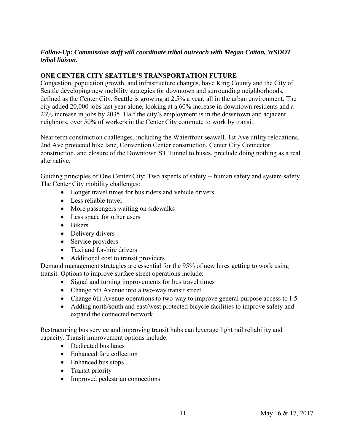## *Follow-Up: Commission staff will coordinate tribal outreach with Megan Cotton, WSDOT tribal liaison.*

# **ONE CENTER CITY SEATTLE'S TRANSPORTATION FUTURE**

Congestion, population growth, and infrastructure changes, have King County and the City of Seattle developing new mobility strategies for downtown and surrounding neighborhoods, defined as the Center City. Seattle is growing at 2.5% a year, all in the urban environment. The city added 20,000 jobs last year alone, looking at a 60% increase in downtown residents and a 23% increase in jobs by 2035. Half the city's employment is in the downtown and adjacent neighbors, over 50% of workers in the Center City commute to work by transit.

Near term construction challenges, including the Waterfront seawall, 1st Ave utility relocations, 2nd Ave protected bike lane, Convention Center construction, Center City Connector construction, and closure of the Downtown ST Tunnel to buses, preclude doing nothing as a real alternative.

Guiding principles of One Center City: Two aspects of safety -- human safety and system safety. The Center City mobility challenges:

- Longer travel times for bus riders and vehicle drivers
- Less reliable travel
- More passengers waiting on sidewalks
- Less space for other users
- Bikers
- Delivery drivers
- Service providers
- Taxi and for-hire drivers
- Additional cost to transit providers

Demand management strategies are essential for the 95% of new hires getting to work using transit. Options to improve surface street operations include:

- Signal and turning improvements for bus travel times
- Change 5th Avenue into a two-way transit street
- Change 6th Avenue operations to two-way to improve general purpose access to I-5
- Adding north/south and east/west protected bicycle facilities to improve safety and expand the connected network

Restructuring bus service and improving transit hubs can leverage light rail reliability and capacity. Transit improvement options include:

- Dedicated bus lanes
- Enhanced fare collection
- Enhanced bus stops
- Transit priority
- Improved pedestrian connections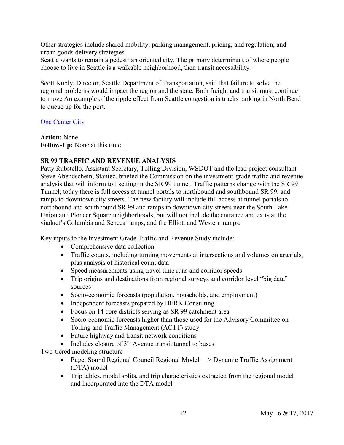Other strategies include shared mobility; parking management, pricing, and regulation; and urban goods delivery strategies.

Seattle wants to remain a pedestrian oriented city. The primary determinant of where people choose to live in Seattle is a walkable neighborhood, then transit accessibility.

Scott Kubly, Director, Seattle Department of Transportation, said that failure to solve the regional problems would impact the region and the state. Both freight and transit must continue to move An example of the ripple effect from Seattle congestion is trucks parking in North Bend to queue up for the port.

#### **[One Center City](http://www.wstc.wa.gov/Meetings/AgendasMinutes/agendas/2017/May16/documents/2017_0517_BP13_OneCityCenter.pdf)**

**Action:** None **Follow-Up:** None at this time

## **SR 99 TRAFFIC AND REVENUE ANALYSIS**

Patty Rubstello, Assistant Secretary, Tolling Division, WSDOT and the lead project consultant Steve Abendschein, Stantec, briefed the Commission on the investment-grade traffic and revenue analysis that will inform toll setting in the SR 99 tunnel. Traffic patterns change with the SR 99 Tunnel; today there is full access at tunnel portals to northbound and southbound SR 99, and ramps to downtown city streets. The new facility will include full access at tunnel portals to northbound and southbound SR 99 and ramps to downtown city streets near the South Lake Union and Pioneer Square neighborhoods, but will not include the entrance and exits at the viaduct's Columbia and Seneca ramps, and the Elliott and Western ramps.

Key inputs to the Investment Grade Traffic and Revenue Study include:

- Comprehensive data collection
- Traffic counts, including turning movements at intersections and volumes on arterials, plus analysis of historical count data
- Speed measurements using travel time runs and corridor speeds
- Trip origins and destinations from regional surveys and corridor level "big data" sources
- Socio-economic forecasts (population, households, and employment)
- Independent forecasts prepared by BERK Consulting
- Focus on 14 core districts serving as SR 99 catchment area
- Socio-economic forecasts higher than those used for the Advisory Committee on Tolling and Traffic Management (ACTT) study
- Future highway and transit network conditions
- Includes closure of  $3<sup>rd</sup>$  Avenue transit tunnel to buses

Two-tiered modeling structure

- Puget Sound Regional Council Regional Model —> Dynamic Traffic Assignment (DTA) model
- Trip tables, modal splits, and trip characteristics extracted from the regional model and incorporated into the DTA model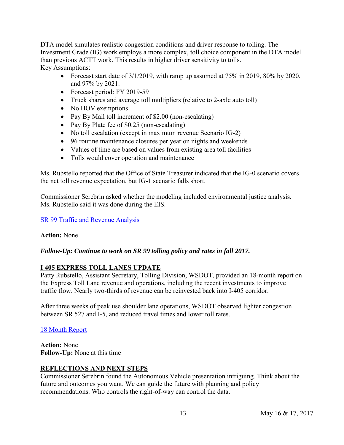DTA model simulates realistic congestion conditions and driver response to tolling. The Investment Grade (IG) work employs a more complex, toll choice component in the DTA model than previous ACTT work. This results in higher driver sensitivity to tolls. Key Assumptions:

- Forecast start date of  $3/1/2019$ , with ramp up assumed at 75% in 2019, 80% by 2020, and 97% by 2021:
- Forecast period: FY 2019-59
- Truck shares and average toll multipliers (relative to 2-axle auto toll)
- No HOV exemptions
- Pay By Mail toll increment of \$2.00 (non-escalating)
- Pay By Plate fee of \$0.25 (non-escalating)
- No toll escalation (except in maximum revenue Scenario IG-2)
- 96 routine maintenance closures per year on nights and weekends
- Values of time are based on values from existing area toll facilities
- Tolls would cover operation and maintenance

Ms. Rubstello reported that the Office of State Treasurer indicated that the IG-0 scenario covers the net toll revenue expectation, but IG-1 scenario falls short.

Commissioner Serebrin asked whether the modeling included environmental justice analysis. Ms. Rubstello said it was done during the EIS.

## [SR 99 Traffic and Revenue Analysis](http://www.wstc.wa.gov/Meetings/AgendasMinutes/agendas/2017/May16/documents/2017_0517_BP14_SR99_TrafficAndRevenueAnalysis_000.pdf)

## **Action:** None

## *Follow-Up: Continue to work on SR 99 tolling policy and rates in fall 2017.*

## **I 405 EXPRESS TOLL LANES UPDATE**

Patty Rubstello, Assistant Secretary, Tolling Division, WSDOT, provided an 18-month report on the Express Toll Lane revenue and operations, including the recent investments to improve traffic flow. Nearly two-thirds of revenue can be reinvested back into I-405 corridor.

After three weeks of peak use shoulder lane operations, WSDOT observed lighter congestion between SR 527 and I-5, and reduced travel times and lower toll rates.

## [18 Month Report](http://www.wstc.wa.gov/Meetings/AgendasMinutes/agendas/2017/May16/documents/2017_0517_BP15_I405ETL_Update.pdf)

**Action:** None **Follow-Up:** None at this time

## **REFLECTIONS AND NEXT STEPS**

Commissioner Serebrin found the Autonomous Vehicle presentation intriguing. Think about the future and outcomes you want. We can guide the future with planning and policy recommendations. Who controls the right-of-way can control the data.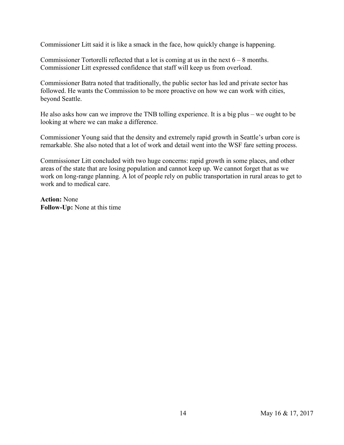Commissioner Litt said it is like a smack in the face, how quickly change is happening.

Commissioner Tortorelli reflected that a lot is coming at us in the next  $6 - 8$  months. Commissioner Litt expressed confidence that staff will keep us from overload.

Commissioner Batra noted that traditionally, the public sector has led and private sector has followed. He wants the Commission to be more proactive on how we can work with cities, beyond Seattle.

He also asks how can we improve the TNB tolling experience. It is a big plus – we ought to be looking at where we can make a difference.

Commissioner Young said that the density and extremely rapid growth in Seattle's urban core is remarkable. She also noted that a lot of work and detail went into the WSF fare setting process.

Commissioner Litt concluded with two huge concerns: rapid growth in some places, and other areas of the state that are losing population and cannot keep up. We cannot forget that as we work on long-range planning. A lot of people rely on public transportation in rural areas to get to work and to medical care.

**Action:** None **Follow-Up:** None at this time